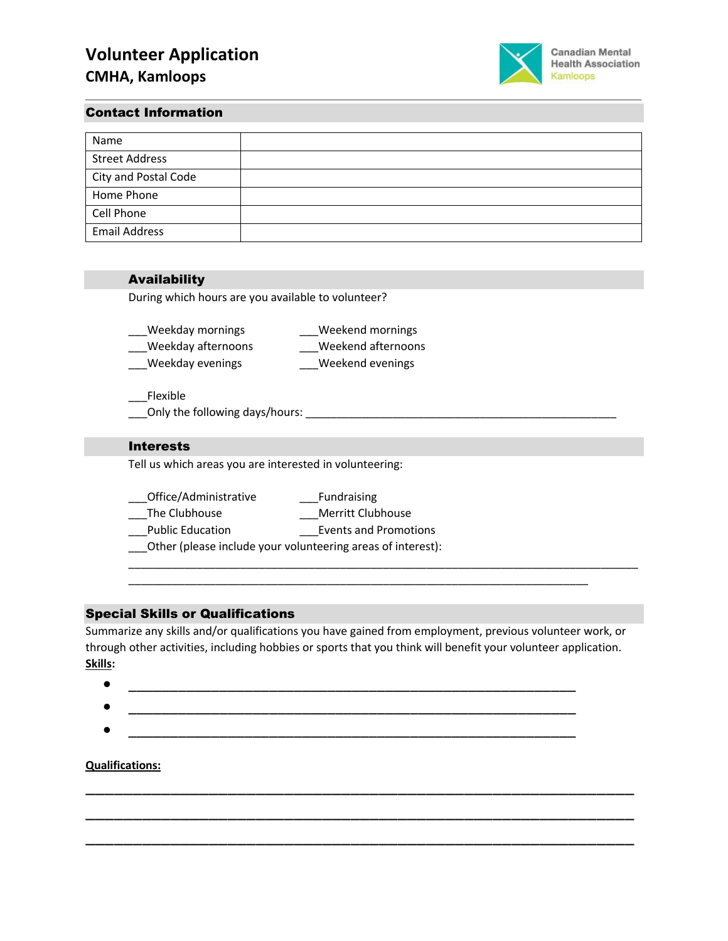

### Contact Information

| Name                  |  |
|-----------------------|--|
| <b>Street Address</b> |  |
| City and Postal Code  |  |
| Home Phone            |  |
| Cell Phone            |  |
| <b>Email Address</b>  |  |

# Availability

During which hours are you available to volunteer?

| Weekday mornings   | Weekend mornings   |
|--------------------|--------------------|
| Weekday afternoons | Weekend afternoons |
| Weekday evenings   | Weekend evenings   |

\_\_\_Flexible \_\_\_Only the following days/hours: \_\_\_\_\_\_\_\_\_\_\_\_\_\_\_\_\_\_\_\_\_\_\_\_\_\_\_\_\_\_\_\_\_\_\_\_\_\_\_\_\_\_\_\_\_\_\_\_\_\_

### Interests

Tell us which areas you are interested in volunteering:

| Office/Administrative                                       | Fundraising                  |  |
|-------------------------------------------------------------|------------------------------|--|
| The Clubhouse                                               | <b>Merritt Clubhouse</b>     |  |
| <b>Public Education</b>                                     | <b>Events and Promotions</b> |  |
| Other (please include your volunteering areas of interest): |                              |  |

#### Special Skills or Qualifications

Summarize any skills and/or qualifications you have gained from employment, previous volunteer work, or through other activities, including hobbies or sports that you think will benefit your volunteer application. **Skills:** 

\_\_\_\_\_\_\_\_\_\_\_\_\_\_\_\_\_\_\_\_\_\_\_\_\_\_\_\_\_\_\_\_\_\_\_\_\_\_\_\_\_\_\_\_\_\_\_\_\_\_\_\_\_\_\_\_\_\_

\_\_\_\_\_\_\_\_\_\_\_\_\_\_\_\_\_\_\_\_\_\_\_\_\_\_\_\_\_\_\_\_\_\_\_\_\_\_\_\_\_\_\_\_\_\_\_\_\_\_\_\_\_\_\_\_\_\_

\_\_\_\_\_\_\_\_\_\_\_\_\_\_\_\_\_\_\_\_\_\_\_\_\_\_\_\_\_\_\_\_\_\_\_\_\_\_\_\_\_\_\_\_\_\_\_\_\_\_\_\_\_\_\_\_\_\_

\_\_\_\_\_\_\_\_\_\_\_\_\_\_\_\_\_\_\_\_\_\_\_\_\_\_\_\_\_\_\_\_\_\_\_\_\_\_\_\_\_\_\_\_\_\_\_\_\_\_\_\_\_\_\_\_\_\_\_\_\_\_\_\_\_\_\_\_\_\_\_\_\_\_

\_\_\_\_\_\_\_\_\_\_\_\_\_\_\_\_\_\_\_\_\_\_\_\_\_\_\_\_\_\_\_\_\_\_\_\_\_\_\_\_\_\_\_\_\_\_\_\_\_\_\_\_\_\_\_\_\_\_\_\_\_\_\_\_\_\_\_\_\_\_\_\_\_\_\_\_\_\_\_\_\_\_

- \_\_\_\_\_\_\_\_\_\_\_\_\_\_\_\_\_\_\_\_\_\_\_\_\_\_\_\_\_\_\_\_\_\_\_\_\_\_\_\_\_\_\_\_\_\_\_\_\_\_\_\_\_\_ \_\_\_\_\_\_\_\_\_\_\_\_\_\_\_\_\_\_\_\_\_\_\_\_\_\_\_\_\_\_\_\_\_\_\_\_\_\_\_\_\_\_\_\_\_\_\_\_\_\_\_\_\_\_
- $\bullet$   $\hspace{0.2cm}$   $\hspace{0.2cm}$   $\hspace{0.2cm}$   $\hspace{0.2cm}$   $\hspace{0.2cm}$   $\hspace{0.2cm}$   $\hspace{0.2cm}$   $\hspace{0.2cm}$   $\hspace{0.2cm}$   $\hspace{0.2cm}$   $\hspace{0.2cm}$   $\hspace{0.2cm}$   $\hspace{0.2cm}$   $\hspace{0.2cm}$   $\hspace{0.2cm}$   $\hspace{0.2cm}$   $\hspace{0.2cm}$   $\hspace{0.2cm}$

#### **Qualifications:**